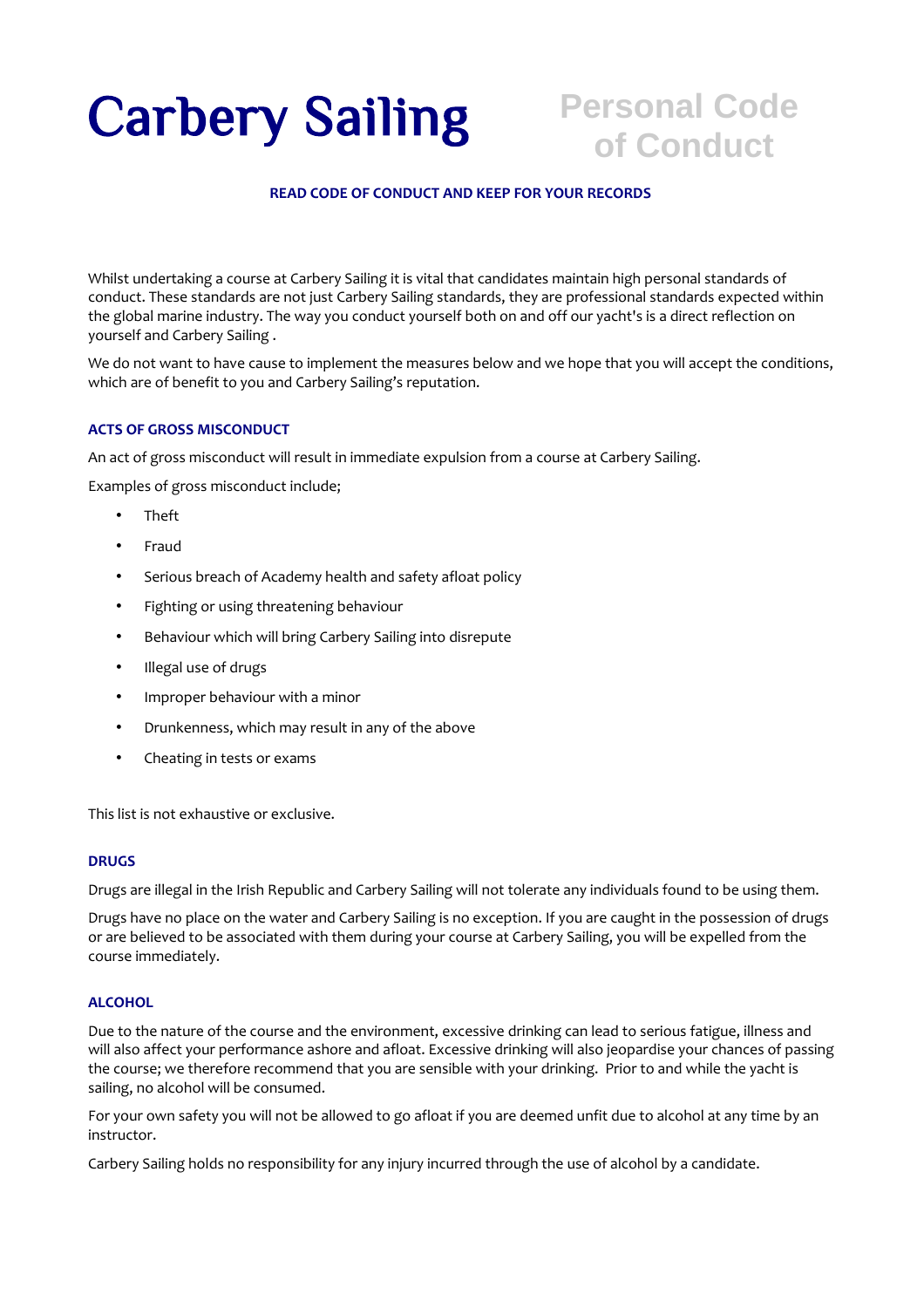# Carbery Sailing

## **Personal Code of Conduct**

#### **READ CODE OF CONDUCT AND KEEP FOR YOUR RECORDS**

Whilst undertaking a course at Carbery Sailing it is vital that candidates maintain high personal standards of conduct. These standards are not just Carbery Sailing standards, they are professional standards expected within the global marine industry. The way you conduct yourself both on and off our yacht's is a direct reflection on yourself and Carbery Sailing .

We do not want to have cause to implement the measures below and we hope that you will accept the conditions, which are of benefit to you and Carbery Sailing's reputation.

#### **ACTS OF GROSS MISCONDUCT**

An act of gross misconduct will result in immediate expulsion from a course at Carbery Sailing.

Examples of gross misconduct include;

- Theft
- Fraud
- Serious breach of Academy health and safety afloat policy
- Fighting or using threatening behaviour
- Behaviour which will bring Carbery Sailing into disrepute
- Illegal use of drugs
- Improper behaviour with a minor
- Drunkenness, which may result in any of the above
- Cheating in tests or exams

This list is not exhaustive or exclusive.

#### **DRUGS**

Drugs are illegal in the Irish Republic and Carbery Sailing will not tolerate any individuals found to be using them.

Drugs have no place on the water and Carbery Sailing is no exception. If you are caught in the possession of drugs or are believed to be associated with them during your course at Carbery Sailing, you will be expelled from the course immediately.

#### **ALCOHOL**

Due to the nature of the course and the environment, excessive drinking can lead to serious fatigue, illness and will also affect your performance ashore and afloat. Excessive drinking will also jeopardise your chances of passing the course; we therefore recommend that you are sensible with your drinking. Prior to and while the yacht is sailing, no alcohol will be consumed.

For your own safety you will not be allowed to go afloat if you are deemed unfit due to alcohol at any time by an instructor.

Carbery Sailing holds no responsibility for any injury incurred through the use of alcohol by a candidate.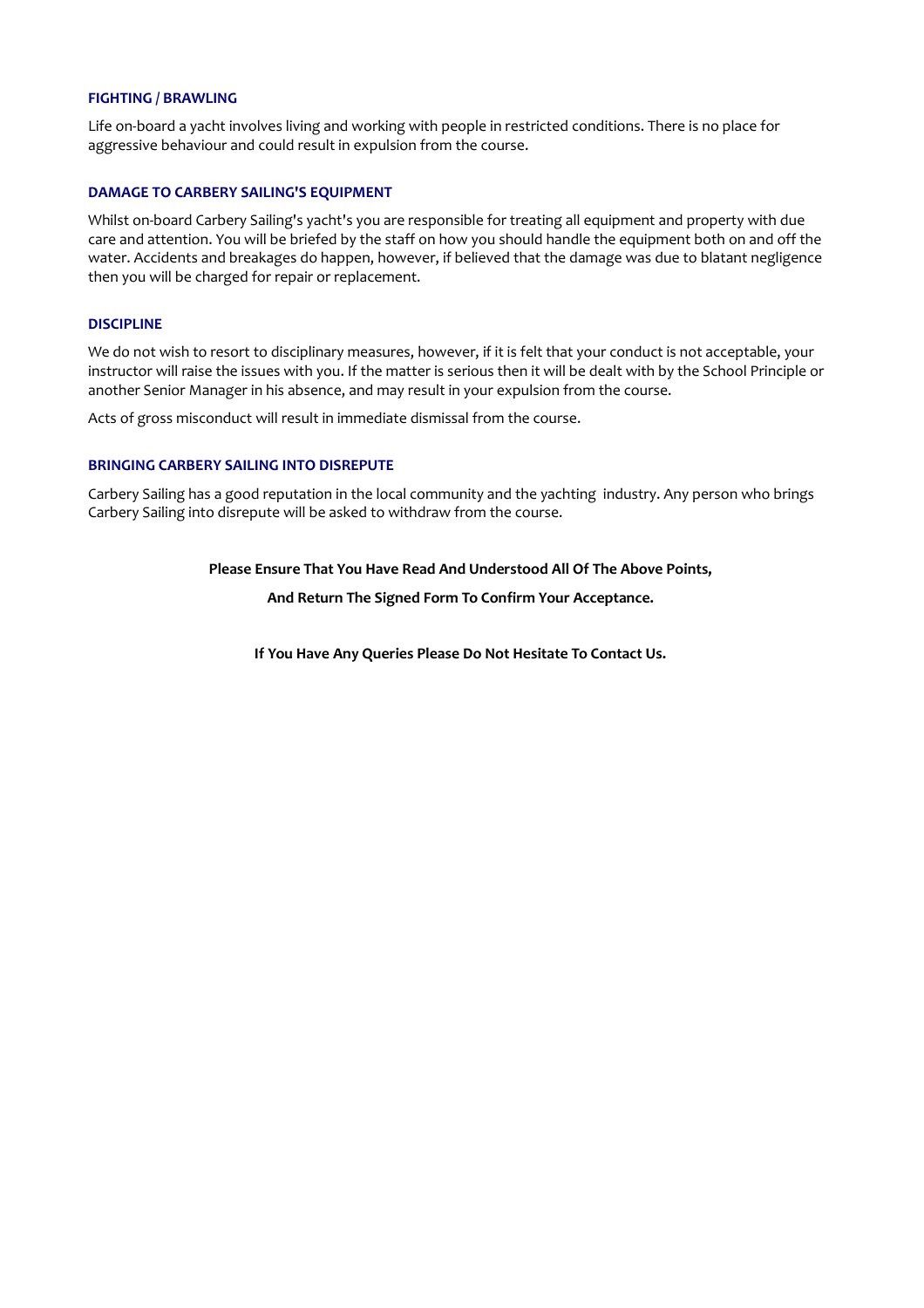#### **FIGHTING / BRAWLING**

Life on-board a yacht involves living and working with people in restricted conditions. There is no place for aggressive behaviour and could result in expulsion from the course.

#### **DAMAGE TO CARBERY SAILING'S EQUIPMENT**

Whilst on-board Carbery Sailing's yacht's you are responsible for treating all equipment and property with due care and attention. You will be briefed by the staff on how you should handle the equipment both on and off the water. Accidents and breakages do happen, however, if believed that the damage was due to blatant negligence then you will be charged for repair or replacement.

#### **DISCIPLINE**

We do not wish to resort to disciplinary measures, however, if it is felt that your conduct is not acceptable, your instructor will raise the issues with you. If the matter is serious then it will be dealt with by the School Principle or another Senior Manager in his absence, and may result in your expulsion from the course.

Acts of gross misconduct will result in immediate dismissal from the course.

#### **BRINGING CARBERY SAILING INTO DISREPUTE**

Carbery Sailing has a good reputation in the local community and the yachting industry. Any person who brings Carbery Sailing into disrepute will be asked to withdraw from the course.

#### **Please Ensure That You Have Read And Understood All Of The Above Points,**

**And Return The Signed Form To Confirm Your Acceptance.** 

**If You Have Any Queries Please Do Not Hesitate To Contact Us.**